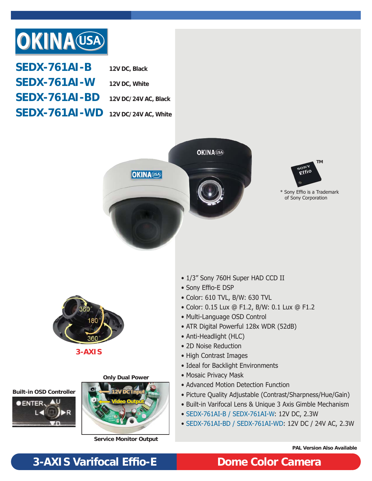

| <b>SEDX-761AI-B</b>                           | 12V DC, Black |
|-----------------------------------------------|---------------|
| <b>SEDX-761AI-W</b>                           | 12V DC, White |
| $SEDX-761AI-BD$ 12V DC/24V AC, Black          |               |
| $\textbf{SEDX-761Al-WD}$ 12V DC/24V AC, White |               |





\* Sony Effio is a Trademark of Sony Corporation



**3-AXIS**

**Only Dual Power**





**Service Monitor Output**

- 1/3" Sony 760H Super HAD CCD II
- Sony Effio-E DSP
- Color: 610 TVL, B/W: 630 TVL
- Color: 0.15 Lux @ F1.2, B/W: 0.1 Lux @ F1.2
- Multi-Language OSD Control
- ATR Digital Powerful 128x WDR (52dB)
- Anti-Headlight (HLC)
- 2D Noise Reduction
- High Contrast Images
- Ideal for Backlight Environments
- Mosaic Privacy Mask
- Advanced Motion Detection Function
- Picture Quality Adjustable (Contrast/Sharpness/Hue/Gain)
- Built-in Varifocal Lens & Unique 3 Axis Gimble Mechanism
- SEDX-761AI-B / SEDX-761AI-W: 12V DC, 2.3W
- SEDX-761AI-BD / SEDX-761AI-WD: 12V DC / 24V AC, 2.3W

**PAL Version Also Available**

# **3-AXIS Varifocal Effi o-E Dome Color Camera**